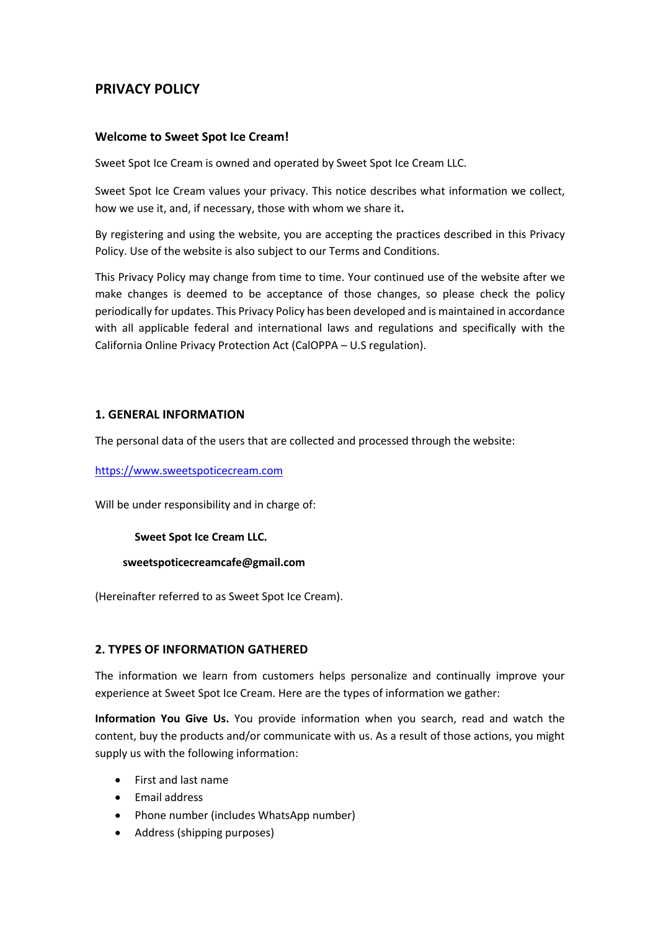# **PRIVACY POLICY**

#### **Welcome to Sweet Spot Ice Cream!**

Sweet Spot Ice Cream is owned and operated by Sweet Spot Ice Cream LLC.

Sweet Spot Ice Cream values your privacy. This notice describes what information we collect, how we use it, and, if necessary, those with whom we share it**.**

By registering and using the website, you are accepting the practices described in this Privacy Policy. Use of the website is also subject to our Terms and Conditions.

This Privacy Policy may change from time to time. Your continued use of the website after we make changes is deemed to be acceptance of those changes, so please check the policy periodically for updates. This Privacy Policy has been developed and is maintained in accordance with all applicable federal and international laws and regulations and specifically with the California Online Privacy Protection Act (CalOPPA – U.S regulation).

#### **1. GENERAL INFORMATION**

The personal data of the users that are collected and processed through the website:

#### https://www.sweetspoticecream.com

Will be under responsibility and in charge of:

**Sweet Spot Ice Cream LLC.**

#### **sweetspoticecreamcafe@gmail.com**

(Hereinafter referred to as Sweet Spot Ice Cream).

#### **2. TYPES OF INFORMATION GATHERED**

The information we learn from customers helps personalize and continually improve your experience at Sweet Spot Ice Cream. Here are the types of information we gather:

**Information You Give Us.** You provide information when you search, read and watch the content, buy the products and/or communicate with us. As a result of those actions, you might supply us with the following information:

- First and last name
- Email address
- Phone number (includes WhatsApp number)
- Address (shipping purposes)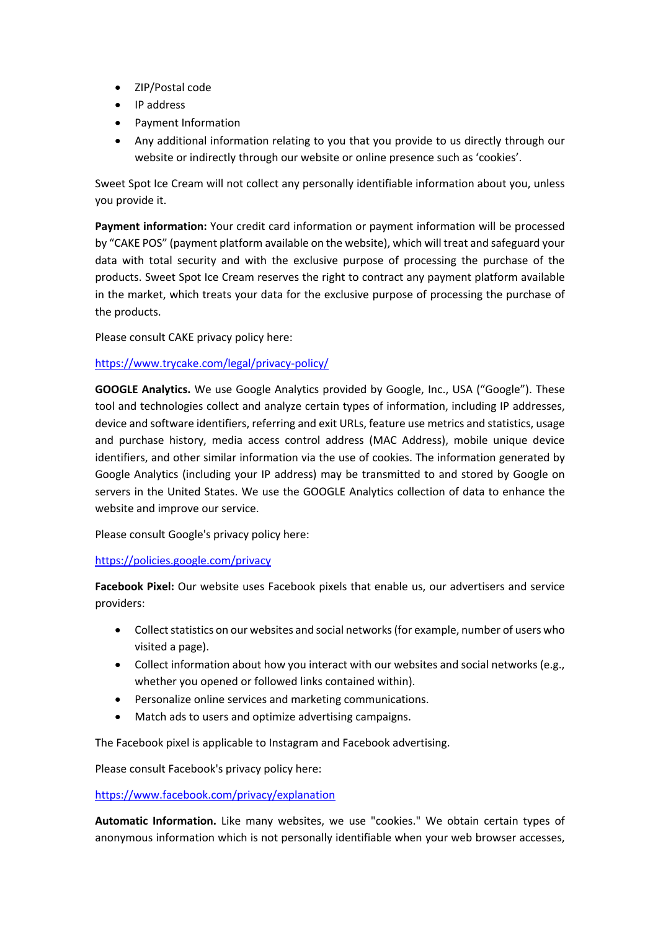- ZIP/Postal code
- IP address
- Payment Information
- Any additional information relating to you that you provide to us directly through our website or indirectly through our website or online presence such as 'cookies'.

Sweet Spot Ice Cream will not collect any personally identifiable information about you, unless you provide it.

**Payment information:** Your credit card information or payment information will be processed by "CAKE POS" (payment platform available on the website), which will treat and safeguard your data with total security and with the exclusive purpose of processing the purchase of the products. Sweet Spot Ice Cream reserves the right to contract any payment platform available in the market, which treats your data for the exclusive purpose of processing the purchase of the products.

Please consult CAKE privacy policy here:

## https://www.trycake.com/legal/privacy-policy/

**GOOGLE Analytics.** We use Google Analytics provided by Google, Inc., USA ("Google"). These tool and technologies collect and analyze certain types of information, including IP addresses, device and software identifiers, referring and exit URLs, feature use metrics and statistics, usage and purchase history, media access control address (MAC Address), mobile unique device identifiers, and other similar information via the use of cookies. The information generated by Google Analytics (including your IP address) may be transmitted to and stored by Google on servers in the United States. We use the GOOGLE Analytics collection of data to enhance the website and improve our service.

Please consult Google's privacy policy here:

## https://policies.google.com/privacy

**Facebook Pixel:** Our website uses Facebook pixels that enable us, our advertisers and service providers:

- Collect statistics on our websites and social networks (for example, number of users who visited a page).
- Collect information about how you interact with our websites and social networks (e.g., whether you opened or followed links contained within).
- Personalize online services and marketing communications.
- Match ads to users and optimize advertising campaigns.

The Facebook pixel is applicable to Instagram and Facebook advertising.

Please consult Facebook's privacy policy here:

## https://www.facebook.com/privacy/explanation

**Automatic Information.** Like many websites, we use "cookies." We obtain certain types of anonymous information which is not personally identifiable when your web browser accesses,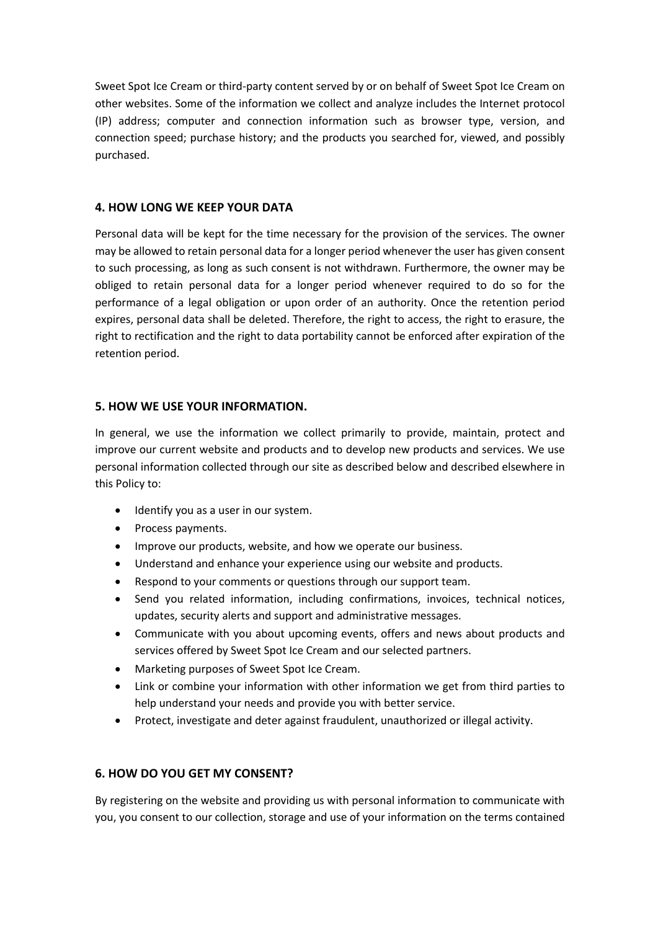Sweet Spot Ice Cream or third-party content served by or on behalf of Sweet Spot Ice Cream on other websites. Some of the information we collect and analyze includes the Internet protocol (IP) address; computer and connection information such as browser type, version, and connection speed; purchase history; and the products you searched for, viewed, and possibly purchased.

## **4. HOW LONG WE KEEP YOUR DATA**

Personal data will be kept for the time necessary for the provision of the services. The owner may be allowed to retain personal data for a longer period whenever the user has given consent to such processing, as long as such consent is not withdrawn. Furthermore, the owner may be obliged to retain personal data for a longer period whenever required to do so for the performance of a legal obligation or upon order of an authority. Once the retention period expires, personal data shall be deleted. Therefore, the right to access, the right to erasure, the right to rectification and the right to data portability cannot be enforced after expiration of the retention period.

## **5. HOW WE USE YOUR INFORMATION.**

In general, we use the information we collect primarily to provide, maintain, protect and improve our current website and products and to develop new products and services. We use personal information collected through our site as described below and described elsewhere in this Policy to:

- Identify you as a user in our system.
- Process payments.
- Improve our products, website, and how we operate our business.
- Understand and enhance your experience using our website and products.
- Respond to your comments or questions through our support team.
- Send you related information, including confirmations, invoices, technical notices, updates, security alerts and support and administrative messages.
- Communicate with you about upcoming events, offers and news about products and services offered by Sweet Spot Ice Cream and our selected partners.
- Marketing purposes of Sweet Spot Ice Cream.
- Link or combine your information with other information we get from third parties to help understand your needs and provide you with better service.
- Protect, investigate and deter against fraudulent, unauthorized or illegal activity.

# **6. HOW DO YOU GET MY CONSENT?**

By registering on the website and providing us with personal information to communicate with you, you consent to our collection, storage and use of your information on the terms contained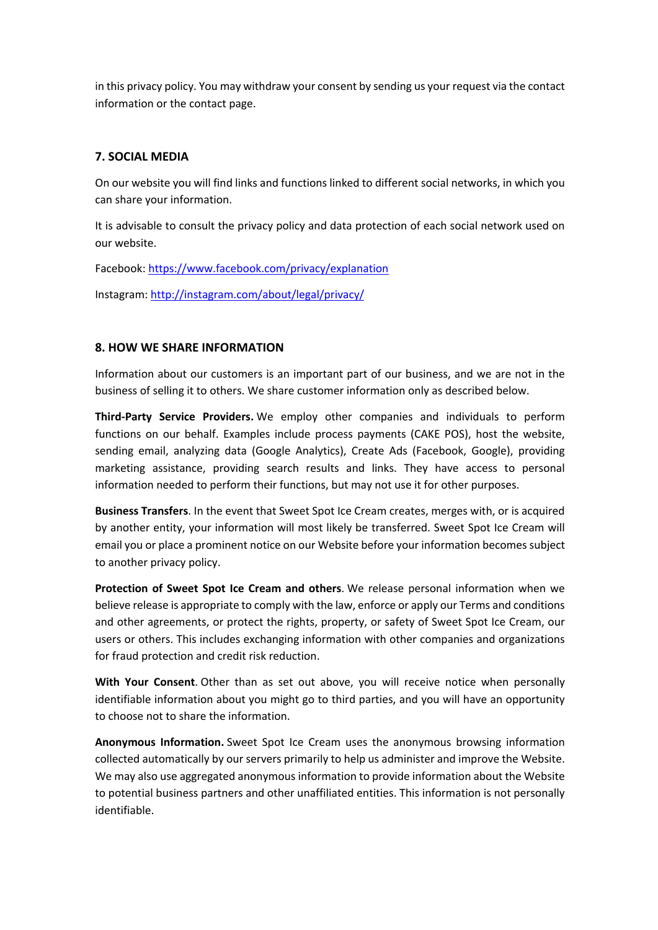in this privacy policy. You may withdraw your consent by sending us your request via the contact information or the contact page.

## **7. SOCIAL MEDIA**

On our website you will find links and functions linked to different social networks, in which you can share your information.

It is advisable to consult the privacy policy and data protection of each social network used on our website.

Facebook: https://www.facebook.com/privacy/explanation

Instagram: http://instagram.com/about/legal/privacy/

## **8. HOW WE SHARE INFORMATION**

Information about our customers is an important part of our business, and we are not in the business of selling it to others. We share customer information only as described below.

**Third-Party Service Providers.** We employ other companies and individuals to perform functions on our behalf. Examples include process payments (CAKE POS), host the website, sending email, analyzing data (Google Analytics), Create Ads (Facebook, Google), providing marketing assistance, providing search results and links. They have access to personal information needed to perform their functions, but may not use it for other purposes.

**Business Transfers**. In the event that Sweet Spot Ice Cream creates, merges with, or is acquired by another entity, your information will most likely be transferred. Sweet Spot Ice Cream will email you or place a prominent notice on our Website before your information becomes subject to another privacy policy.

**Protection of Sweet Spot Ice Cream and others**. We release personal information when we believe release is appropriate to comply with the law, enforce or apply our Terms and conditions and other agreements, or protect the rights, property, or safety of Sweet Spot Ice Cream, our users or others. This includes exchanging information with other companies and organizations for fraud protection and credit risk reduction.

**With Your Consent**. Other than as set out above, you will receive notice when personally identifiable information about you might go to third parties, and you will have an opportunity to choose not to share the information.

**Anonymous Information.** Sweet Spot Ice Cream uses the anonymous browsing information collected automatically by our servers primarily to help us administer and improve the Website. We may also use aggregated anonymous information to provide information about the Website to potential business partners and other unaffiliated entities. This information is not personally identifiable.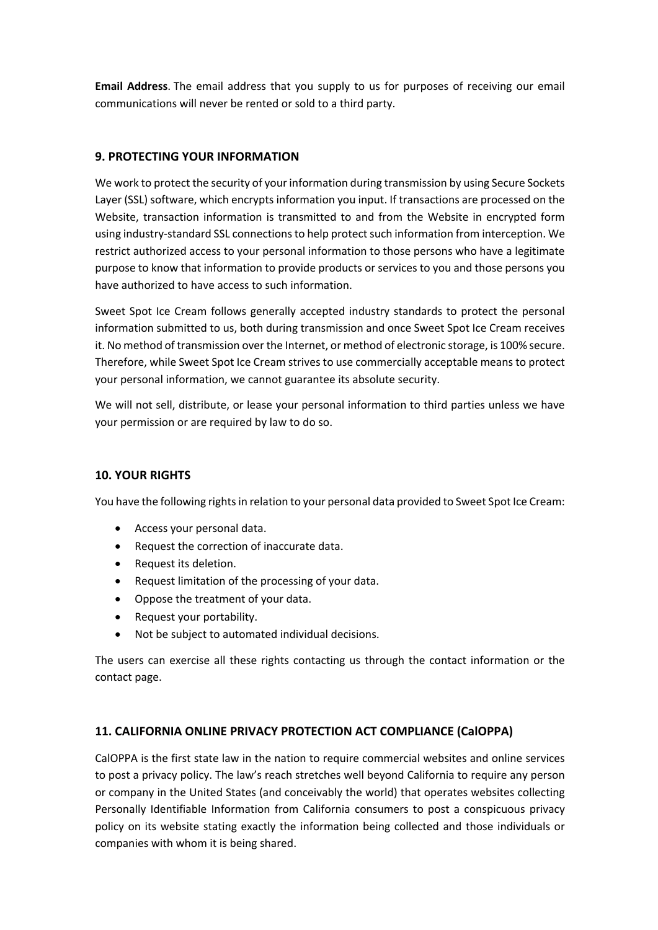**Email Address**. The email address that you supply to us for purposes of receiving our email communications will never be rented or sold to a third party.

# **9. PROTECTING YOUR INFORMATION**

We work to protect the security of your information during transmission by using Secure Sockets Layer (SSL) software, which encrypts information you input. If transactions are processed on the Website, transaction information is transmitted to and from the Website in encrypted form using industry-standard SSL connections to help protect such information from interception. We restrict authorized access to your personal information to those persons who have a legitimate purpose to know that information to provide products or services to you and those persons you have authorized to have access to such information.

Sweet Spot Ice Cream follows generally accepted industry standards to protect the personal information submitted to us, both during transmission and once Sweet Spot Ice Cream receives it. No method of transmission over the Internet, or method of electronic storage, is 100% secure. Therefore, while Sweet Spot Ice Cream strives to use commercially acceptable means to protect your personal information, we cannot guarantee its absolute security.

We will not sell, distribute, or lease your personal information to third parties unless we have your permission or are required by law to do so.

## **10. YOUR RIGHTS**

You have the following rights in relation to your personal data provided to Sweet Spot Ice Cream:

- Access your personal data.
- Request the correction of inaccurate data.
- Request its deletion.
- Request limitation of the processing of your data.
- Oppose the treatment of your data.
- Request your portability.
- Not be subject to automated individual decisions.

The users can exercise all these rights contacting us through the contact information or the contact page.

# **11. CALIFORNIA ONLINE PRIVACY PROTECTION ACT COMPLIANCE (CalOPPA)**

CalOPPA is the first state law in the nation to require commercial websites and online services to post a privacy policy. The law's reach stretches well beyond California to require any person or company in the United States (and conceivably the world) that operates websites collecting Personally Identifiable Information from California consumers to post a conspicuous privacy policy on its website stating exactly the information being collected and those individuals or companies with whom it is being shared.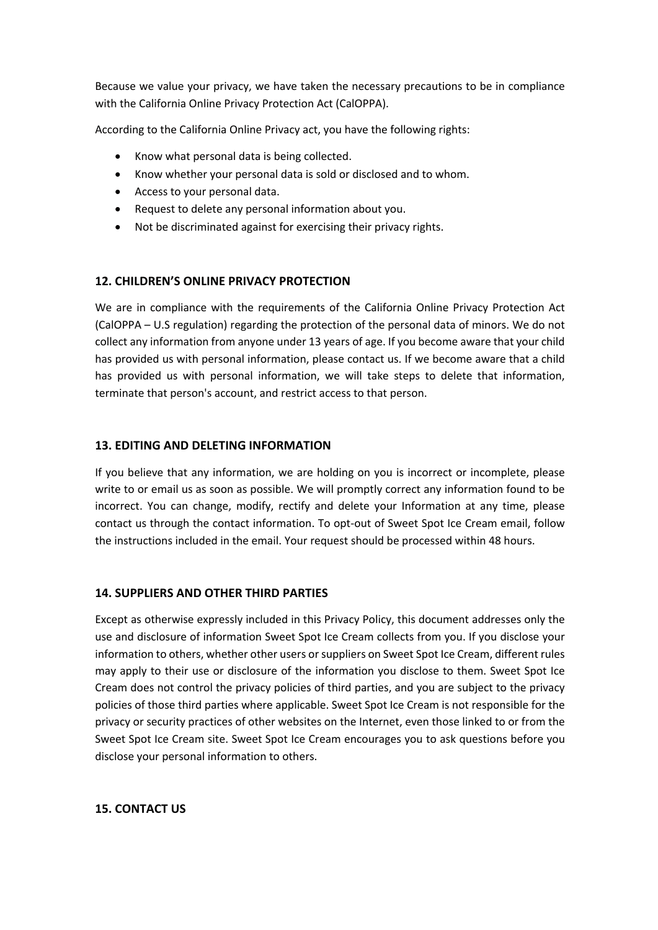Because we value your privacy, we have taken the necessary precautions to be in compliance with the California Online Privacy Protection Act (CalOPPA).

According to the California Online Privacy act, you have the following rights:

- Know what personal data is being collected.
- Know whether your personal data is sold or disclosed and to whom.
- Access to your personal data.
- Request to delete any personal information about you.
- Not be discriminated against for exercising their privacy rights.

## **12. CHILDREN'S ONLINE PRIVACY PROTECTION**

We are in compliance with the requirements of the California Online Privacy Protection Act (CalOPPA – U.S regulation) regarding the protection of the personal data of minors. We do not collect any information from anyone under 13 years of age. If you become aware that your child has provided us with personal information, please contact us. If we become aware that a child has provided us with personal information, we will take steps to delete that information, terminate that person's account, and restrict access to that person.

#### **13. EDITING AND DELETING INFORMATION**

If you believe that any information, we are holding on you is incorrect or incomplete, please write to or email us as soon as possible. We will promptly correct any information found to be incorrect. You can change, modify, rectify and delete your Information at any time, please contact us through the contact information. To opt-out of Sweet Spot Ice Cream email, follow the instructions included in the email. Your request should be processed within 48 hours.

#### **14. SUPPLIERS AND OTHER THIRD PARTIES**

Except as otherwise expressly included in this Privacy Policy, this document addresses only the use and disclosure of information Sweet Spot Ice Cream collects from you. If you disclose your information to others, whether other users or suppliers on Sweet Spot Ice Cream, different rules may apply to their use or disclosure of the information you disclose to them. Sweet Spot Ice Cream does not control the privacy policies of third parties, and you are subject to the privacy policies of those third parties where applicable. Sweet Spot Ice Cream is not responsible for the privacy or security practices of other websites on the Internet, even those linked to or from the Sweet Spot Ice Cream site. Sweet Spot Ice Cream encourages you to ask questions before you disclose your personal information to others.

#### **15. CONTACT US**